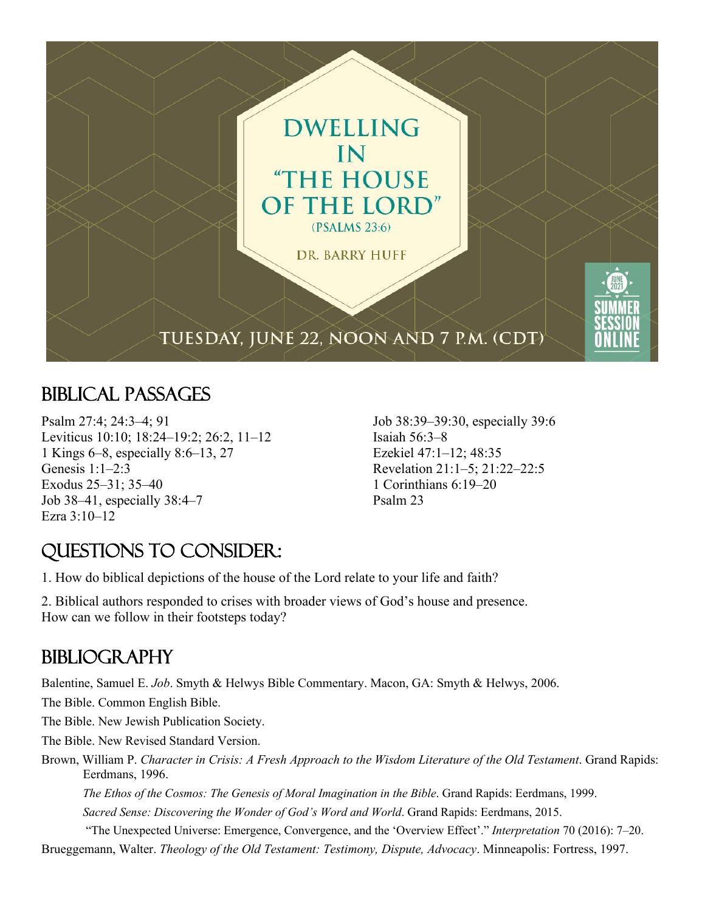

## Biblical Passages

Psalm 27:4; 24:3–4; 91 Leviticus 10:10; 18:24–19:2; 26:2, 11–12 1 Kings 6–8, especially 8:6–13, 27 Genesis 1:1–2:3 Exodus 25–31; 35–40 Job 38–41, especially 38:4–7 Ezra 3:10–12

Job 38:39–39:30, especially 39:6 Isaiah 56:3–8 Ezekiel 47:1–12; 48:35 Revelation 21:1–5; 21:22–22:5 1 Corinthians 6:19–20 Psalm 23

## Questions to Consider:

1. How do biblical depictions of the house of the Lord relate to your life and faith?

2. Biblical authors responded to crises with broader views of God's house and presence. How can we follow in their footsteps today?

## **BIBLIOGRAPHY**

Balentine, Samuel E. *Job*. Smyth & Helwys Bible Commentary. Macon, GA: Smyth & Helwys, 2006.

The Bible. Common English Bible.

The Bible. New Jewish Publication Society.

The Bible. New Revised Standard Version.

Brown, William P. *Character in Crisis: A Fresh Approach to the Wisdom Literature of the Old Testament*. Grand Rapids: Eerdmans, 1996.

*The Ethos of the Cosmos: The Genesis of Moral Imagination in the Bible*. Grand Rapids: Eerdmans, 1999.

*Sacred Sense: Discovering the Wonder of God's Word and World*. Grand Rapids: Eerdmans, 2015.

"The Unexpected Universe: Emergence, Convergence, and the 'Overview Effect'." *Interpretation* 70 (2016): 7–20. Brueggemann, Walter. *Theology of the Old Testament: Testimony, Dispute, Advocacy*. Minneapolis: Fortress, 1997.